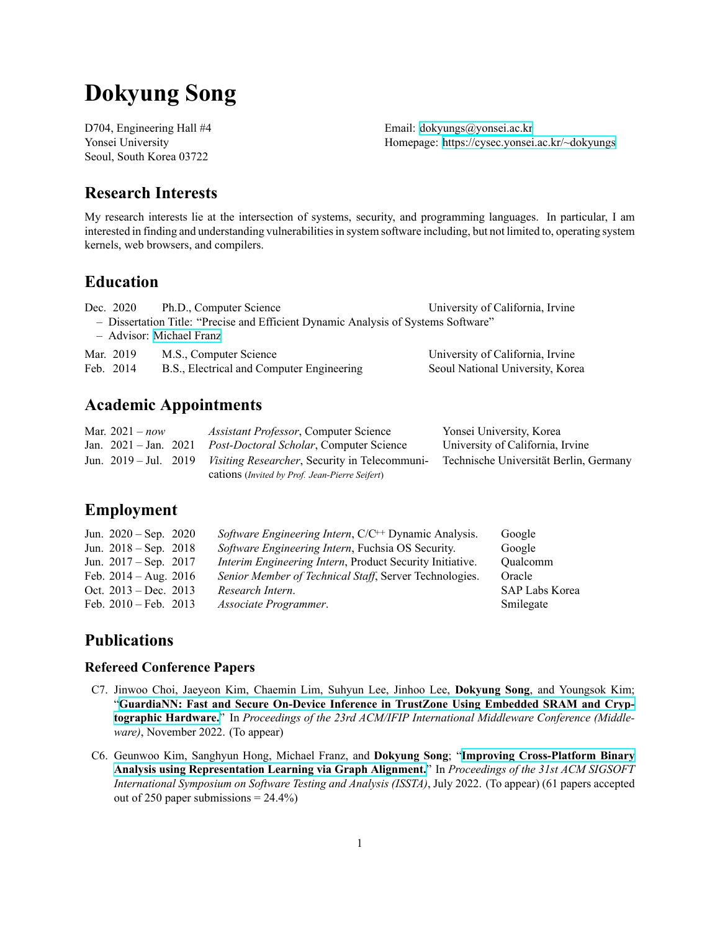# **Dokyung Song**

Seoul, South Korea 03722

D704, Engineering Hall #4 Email: [dokyungs@yonsei.ac.kr](mailto:dokyungs@yonsei.ac.kr) Yonsei University Homepage: <https://cysec.yonsei.ac.kr/~dokyungs>

### **Research Interests**

My research interests lie at the intersection of systems, security, and programming languages. In particular, I am interested in finding and understanding vulnerabilities in system software including, but not limited to, operating system kernels, web browsers, and compilers.

### **Education**

| Dec. 2020                | Ph.D., Computer Science                                                            | University of California, Irvine |  |  |  |  |  |  |
|--------------------------|------------------------------------------------------------------------------------|----------------------------------|--|--|--|--|--|--|
|                          | - Dissertation Title: "Precise and Efficient Dynamic Analysis of Systems Software" |                                  |  |  |  |  |  |  |
| - Advisor: Michael Franz |                                                                                    |                                  |  |  |  |  |  |  |
| Mar. 2019                | M.S., Computer Science                                                             | University of California, Irvine |  |  |  |  |  |  |
| Feb. 2014                | B.S., Electrical and Computer Engineering                                          | Seoul National University, Korea |  |  |  |  |  |  |

### **Academic Appointments**

| Mar. $2021 - now$               | <i>Assistant Professor</i> , Computer Science                               | Yonsei University, Korea               |
|---------------------------------|-----------------------------------------------------------------------------|----------------------------------------|
| Jan. $2021 - \text{Jan. } 2021$ | <i>Post-Doctoral Scholar, Computer Science</i>                              | University of California, Irvine       |
|                                 | Jun. 2019 – Jul. 2019 <i>Visiting Researcher</i> , Security in Telecommuni- | Technische Universität Berlin, Germany |
|                                 | cations (Invited by Prof. Jean-Pierre Seifert)                              |                                        |

### **Employment**

| Jun. $2020 - Sep. 2020$         | Software Engineering Intern, C/C <sup>++</sup> Dynamic Analysis. | Google                |
|---------------------------------|------------------------------------------------------------------|-----------------------|
| Jun. $2018 - Sep. 2018$         | Software Engineering Intern, Fuchsia OS Security.                | Google                |
| Jun. $2017 - \text{Sep. } 2017$ | <i>Interim Engineering Intern, Product Security Initiative.</i>  | Oualcomm              |
| Feb. $2014 - Aug. 2016$         | Senior Member of Technical Staff, Server Technologies.           | Oracle                |
| Oct. $2013 - Dec. 2013$         | Research Intern.                                                 | <b>SAP Labs Korea</b> |
| Feb. $2010 - \text{Feb. } 2013$ | Associate Programmer.                                            | Smilegate             |

### **Publications**

#### **Refereed Conference Papers**

- C7. Jinwoo Choi, Jaeyeon Kim, Chaemin Lim, Suhyun Lee, Jinhoo Lee, **Dokyung Song**, and Youngsok Kim; "GuardiaNN: Fast and Secure On-Device Inference in TrustZone Using Embedded SRAM and Cryp**[tographic Hardware.](https://dl.acm.org/...)**" In *Proceedings of the 23rd ACM/IFIP International Middleware Conference (Middleware)*, November 2022. (To appear)
- C6. Geunwoo Kim, Sanghyun Hong, Michael Franz, and **Dokyung Song**; "Improving Cross-Platform Binary **[Analysis using Representation Learning via Graph Alignment.](https://dl.acm.org/...)**" In *Proceedings of the 31st ACM SIGSOFT International Symposium on Software Testing and Analysis (ISSTA)*, July 2022. (To appear) (61 papers accepted out of 250 paper submissions  $= 24.4\%$ )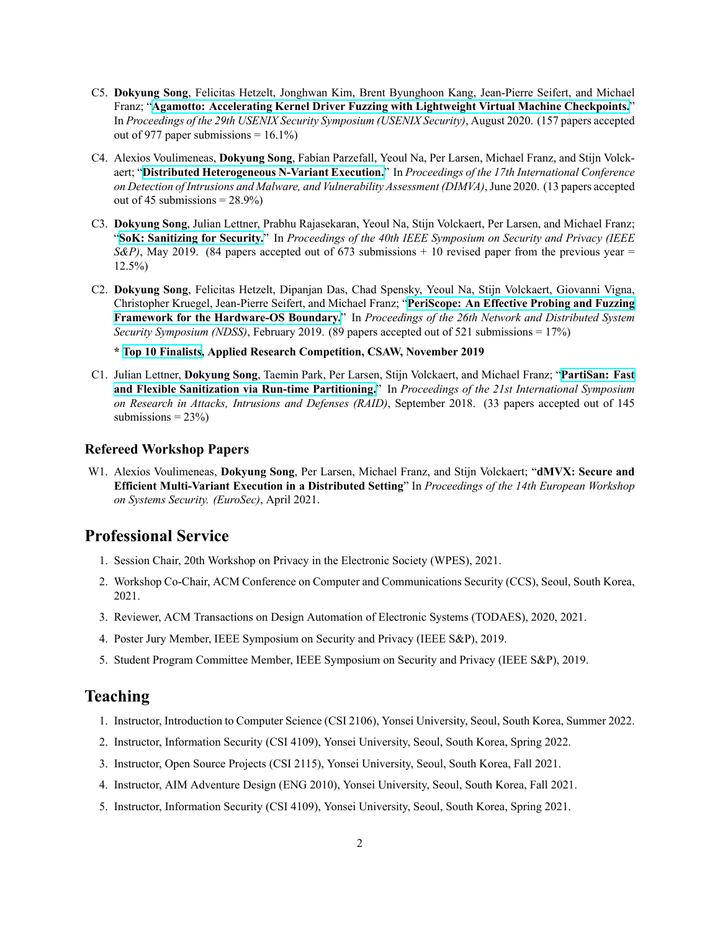- C5. Dokyung Song, Felicitas Hetzelt, Jonghwan Kim, Brent Byunghoon Kang, Jean-Pierre Seifert, and Michael Franz; "**[Agamotto: Accelerating Kernel Driver Fuzzing with Lightweight Virtual Machine Checkpoints.](https://www.usenix.org/system/files/sec20-song.pdf)**" In *Proceedings of the 29th USENIX Security Symposium (USENIX Security)*, August 2020. (157 papers accepted out of 977 paper submissions =  $16.1\%$ )
- C4. Alexios Voulimeneas, **Dokyung Song**, Fabian Parzefall, Yeoul Na, Per Larsen, Michael Franz, and Stijn Volckaert; "Distributed Heterogeneous N-Variant Execution." In *Proceedings of the 17th International Conference on Detection of Intrusions and Malware, and Vulnerability Assessment (DIMVA)*, June 2020. (13 papers accepted out of 45 submissions =  $28.9\%$ )
- C3. **Dokyung Song**, Julian Lettner, Prabhu Rajasekaran, Yeoul Na, Stijn Volckaert, Per Larsen, and Michael Franz; "**[SoK: Sanitizing for Security.](https://doi.org/10.1109/SP.2019.00010)**" In *Proceedings of the 40th IEEE Symposium on Security and Privacy (IEEE S&P)*, May 2019. (84 papers accepted out of 673 submissions  $+10$  revised paper from the previous year  $=$ 12.5%)
- C2. **Dokyung Song**, Felicitas Hetzelt, Dipanjan Das, Chad Spensky, Yeoul Na, Stijn Volckaert, Giovanni Vigna, Christopher Kruegel, JeanPierre Seifert, and Michael Franz; "**[PeriScope: An Effective Probing and Fuzzing](https://doi.org/10.14722/ndss.2019.23176) [Framework for the HardwareOS Boundary.](https://doi.org/10.14722/ndss.2019.23176)**" In *Proceedings of the 26th Network and Distributed System Security Symposium (NDSS)*, February 2019. (89 papers accepted out of 521 submissions = 17%)

**\* [Top 10 Finalists,](https://43f60238-2232-4612-9aac-81bc9da2dd4e.filesusr.com/ugd/acbc49_8aa7acea853f4099bac0915e0b522ce8.pdf) Applied Research Competition, CSAW, November 2019**

C1. Julian Lettner, **Dokyung Song**, Taemin Park, Per Larsen, Stijn Volckaert, and Michael Franz; "**[PartiSan: Fast](https://doi.org/10.1007/978-3-030-00470-5_19)** and Flexible Sanitization via Run-time Partitioning." In *Proceedings of the 21st International Symposium on Research in Attacks, Intrusions and Defenses (RAID)*, September 2018. (33 papers accepted out of 145 submissions  $= 23\%$ )

#### **Refereed Workshop Papers**

W1. Alexios Voulimeneas, **Dokyung Song**, Per Larsen, Michael Franz, and Stijn Volckaert; "**dMVX: Secure and Efficient MultiVariant Execution in a Distributed Setting**" In *Proceedings of the 14th European Workshop on Systems Security. (EuroSec)*, April 2021.

### **Professional Service**

- 1. Session Chair, 20th Workshop on Privacy in the Electronic Society (WPES), 2021.
- 2. Workshop CoChair, ACM Conference on Computer and Communications Security (CCS), Seoul, South Korea, 2021.
- 3. Reviewer, ACM Transactions on Design Automation of Electronic Systems (TODAES), 2020, 2021.
- 4. Poster Jury Member, IEEE Symposium on Security and Privacy (IEEE S&P), 2019.
- 5. Student Program Committee Member, IEEE Symposium on Security and Privacy (IEEE S&P), 2019.

### **Teaching**

- 1. Instructor, Introduction to Computer Science (CSI 2106), Yonsei University, Seoul, South Korea, Summer 2022.
- 2. Instructor, Information Security (CSI 4109), Yonsei University, Seoul, South Korea, Spring 2022.
- 3. Instructor, Open Source Projects (CSI 2115), Yonsei University, Seoul, South Korea, Fall 2021.
- 4. Instructor, AIM Adventure Design (ENG 2010), Yonsei University, Seoul, South Korea, Fall 2021.
- 5. Instructor, Information Security (CSI 4109), Yonsei University, Seoul, South Korea, Spring 2021.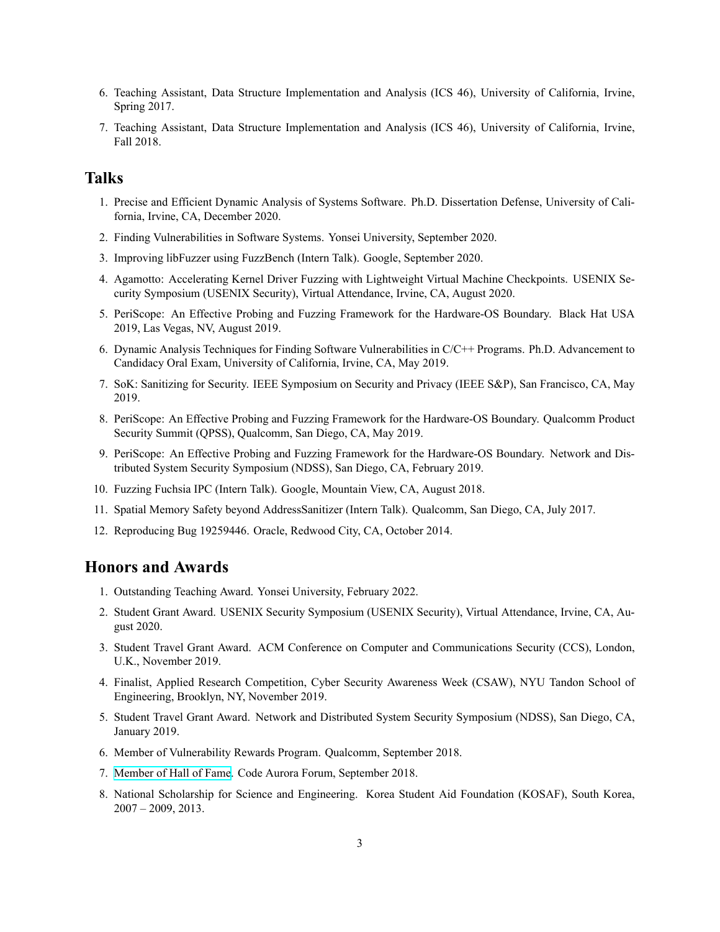- 6. Teaching Assistant, Data Structure Implementation and Analysis (ICS 46), University of California, Irvine, Spring 2017.
- 7. Teaching Assistant, Data Structure Implementation and Analysis (ICS 46), University of California, Irvine, Fall 2018.

### **Talks**

- 1. Precise and Efficient Dynamic Analysis of Systems Software. Ph.D. Dissertation Defense, University of California, Irvine, CA, December 2020.
- 2. Finding Vulnerabilities in Software Systems. Yonsei University, September 2020.
- 3. Improving libFuzzer using FuzzBench (Intern Talk). Google, September 2020.
- 4. Agamotto: Accelerating Kernel Driver Fuzzing with Lightweight Virtual Machine Checkpoints. USENIX Security Symposium (USENIX Security), Virtual Attendance, Irvine, CA, August 2020.
- 5. PeriScope: An Effective Probing and Fuzzing Framework for the Hardware-OS Boundary. Black Hat USA 2019, Las Vegas, NV, August 2019.
- 6. Dynamic Analysis Techniques for Finding Software Vulnerabilities in C/C++ Programs. Ph.D. Advancement to Candidacy Oral Exam, University of California, Irvine, CA, May 2019.
- 7. SoK: Sanitizing for Security. IEEE Symposium on Security and Privacy (IEEE S&P), San Francisco, CA, May 2019.
- 8. PeriScope: An Effective Probing and Fuzzing Framework for the Hardware-OS Boundary. Qualcomm Product Security Summit (QPSS), Qualcomm, San Diego, CA, May 2019.
- 9. PeriScope: An Effective Probing and Fuzzing Framework for the Hardware-OS Boundary. Network and Distributed System Security Symposium (NDSS), San Diego, CA, February 2019.
- 10. Fuzzing Fuchsia IPC (Intern Talk). Google, Mountain View, CA, August 2018.
- 11. Spatial Memory Safety beyond AddressSanitizer (Intern Talk). Qualcomm, San Diego, CA, July 2017.
- 12. Reproducing Bug 19259446. Oracle, Redwood City, CA, October 2014.

### **Honors and Awards**

- 1. Outstanding Teaching Award. Yonsei University, February 2022.
- 2. Student Grant Award. USENIX Security Symposium (USENIX Security), Virtual Attendance, Irvine, CA, August 2020.
- 3. Student Travel Grant Award. ACM Conference on Computer and Communications Security (CCS), London, U.K., November 2019.
- 4. Finalist, Applied Research Competition, Cyber Security Awareness Week (CSAW), NYU Tandon School of Engineering, Brooklyn, NY, November 2019.
- 5. Student Travel Grant Award. Network and Distributed System Security Symposium (NDSS), San Diego, CA, January 2019.
- 6. Member of Vulnerability Rewards Program. Qualcomm, September 2018.
- 7. [Member of Hall of Fame.](https://www.codeaurora.org/user/dokyungsong) Code Aurora Forum, September 2018.
- 8. National Scholarship for Science and Engineering. Korea Student Aid Foundation (KOSAF), South Korea, 2007 – 2009, 2013.